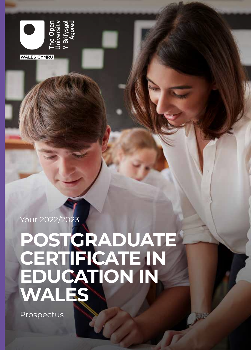

Your 2022/2023

# **POSTGRADUATE CERTIFICATE IN EDUCATION IN WALES**

Prospectus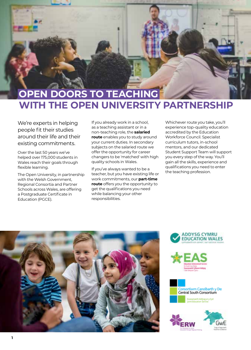

## **WITH THE OPEN UNIVERSITY PARTNERSHIP**

We're experts in helping people fit their studies around their life and their existing commitments.

Over the last 50 years we've helped over 175,000 students in Wales reach their goals through flexible learning.

The Open University, in partnership with the Welsh Government, Regional Consortia and Partner Schools across Wales, are offering a Postgraduate Certificate in Education (PGCE).

If you already work in a school, as a teaching assistant or in a non-teaching role, the **salaried route** enables you to study around your current duties. In secondary subjects on the salaried route we offer the opportunity for career changers to be 'matched' with high quality schools in Wales.

If you've always wanted to be a teacher, but you have existing life or work commitments, our **part-time route** offers you the opportunity to get the qualifications you need while balancing your other responsibilities.

Whichever route you take, you'll experience top-quality education accredited by the Education Workforce Council. Specialist curriculum tutors, in-school mentors, and our dedicated Student Support Team will support you every step of the way. You'll gain all the skills, experience and qualifications you need to enter the teaching profession.









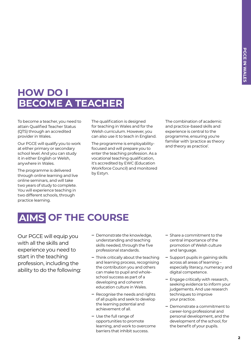### **HOW DO I BECOME A TEACHER**

To become a teacher, you need to attain Qualified Teacher Status (QTS) through an accredited provider in Wales.

Our PGCE will qualify you to work at either primary or secondary school level. And you can study it in either English or Welsh, anywhere in Wales.

The programme is delivered through online learning and live online seminars, and will take two years of study to complete. You will experience teaching in two different schools, through practice learning.

The qualification is designed for teaching in Wales and for the Welsh curriculum. However, you can also use it to teach in England.

The programme is employabilityfocused and will prepare you to enter the teaching profession. As a vocational teaching qualification, it's accredited by EWC (Education Workforce Council) and monitored by Estyn.

The combination of academic and practice-based skills and experience is central to the programme, ensuring you're familiar with 'practice as theory and theory as practice'.

### **AIMS OF THE COURSE**

Our PGCE will equip you with all the skills and experience you need to start in the teaching profession, including the ability to do the following:

- **‒** Demonstrate the knowledge, understanding and teaching skills needed, through the five professional standards.
- **‒** Think critically about the teaching and learning process, recognising the contribution you and others can make to pupil and wholeschool success as part of a developing and coherent education culture in Wales.
- **‒** Recognise the needs and rights of all pupils and seek to develop the learning potential and achievement of all.
- **‒** Use the full range of opportunities to promote learning, and work to overcome barriers that inhibit success.
- **‒** Share a commitment to the central importance of the promotion of Welsh culture and language.
- **‒** Support pupils in gaining skills across all areas of learning – especially literacy, numeracy and digital competence.
- **‒** Engage critically with research, seeking evidence to inform your judgements. And use research techniques to improve your practice.
- **‒** Demonstrate a commitment to career-long professional and personal development, and the development of the school, for the benefit of your pupils.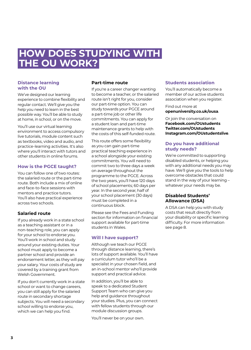### **HOW DOES STUDYING WITH THE OU WORK?**

#### **Distance learning with the OU**

We've designed our learning experience to combine flexibility and regular contact. We'll give you the help you need to learn in the best possible way. You'll be able to study at home, in school, or on the move.

You'll use our virtual learning environment to access compulsory live tutorials, module content such as textbooks, video and audio, and practice-learning activities. It's also where you'll interact with tutors and other students in online forums.

#### **How is the PGCE taught?**

You can follow one of two routes: the salaried route or the part-time route. Both include a mix of online and face-to-face sessions with mentors and practice tutors. You'll also have practical experience across two schools.

#### **Salaried route**

If you already work in a state school as a teaching assistant or in a non-teaching role, you can apply for your school to endorse you. You'll work in school and study around your existing duties. Your school must apply to become a partner school and provide an endorsement letter, as they will pay your salary. Your costs of study are covered by a training grant from Welsh Government.

If you don't currently work in a state school or want to change careers, you can still apply for the salaried route in secondary shortage subjects. You will need a secondary school willing to endorse you, which we can help you find.

#### **Part-time route**

If you're a career changer wanting to become a teacher, or the salaried route isn't right for you, consider our part-time option. You can study towards your PGCE around a part-time job or other life commitments. You can apply for a student loan and part-time maintenance grants to help with the costs of this self-funded route.

This route offers some flexibility as you can gain part-time practical teaching experience in a school alongside your existing commitments. You will need to commit two to three days a week on average throughout the programme to the PGCE. Across the two years, you'll have 120 days of school placements; 60 days per year. In the second year, half of your school placement (30 days) must be completed in a continuous block.

Please see the Fees and Funding section for information on financial support available for part-time students in Wales.

#### **Will I have support?**

Although we teach our PGCE through distance learning, there's lots of support available. You'll have a curriculum tutor who'll be a specialist in your chosen field, and an in-school mentor who'll provide support and practical advice.

In addition, you'll be able to speak to a dedicated Student Support Team who can give you help and guidance throughout your studies. Plus, you can connect with fellow students through our module discussion groups.

You'll never be on your own.

#### **Students association**

You'll automatically become a member of our active students association when you register.

#### Find out more at **[openuniversity.co.uk/ousa](http://openuniversity.co.uk/ousa)**.

Or join the conversation on **[Facebook.com/OUstudents](http://Facebook.com/OUstudents) [Twitter.com/OUstudents](http://Twitter.com/OUstudents) [Instagram.com/OUstudentslive](http://Instagram.com/OUstudentslive)**.

#### **Do you have additional study needs?**

We're committed to supporting disabled students, or helping you with any additional needs you may have. We'll give you the tools to help overcome obstacles that could stand in the way of your learning – whatever your needs may be.

#### **Disabled Students' Allowance (DSA)**

A DSA can help you with study costs that result directly from your disability or specific learning difficulty. For more information see page 8.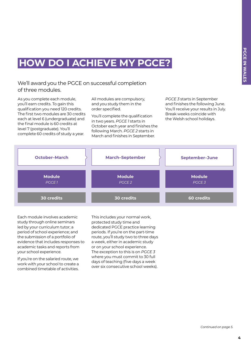### **HOW DO I ACHIEVE MY PGCE?**

We'll award you the PGCE on successful completion of three modules.

As you complete each module, you'll earn credits. To gain this qualification you need 120 credits. The first two modules are 30 credits each at level 6 (undergraduate) and the final module is 60 credits at level 7 (postgraduate). You'll complete 60 credits of study a year.

All modules are compulsory, and you study them in the order specified.

You'll complete the qualification in two years. *PGCE 1* starts in October each year and finishes the following March. *PGCE 2* starts in March and finishes in September.

*PGCE 3* starts in September and finishes the following June. You'll receive your results in July. Break weeks coincide with the Welsh school holidays.



Each module involves academic study through online seminars led by your curriculum tutor; a period of school experience; and the submission of a portfolio of evidence that includes responses to academic tasks and reports from your school experience.

If you're on the salaried route, we work with your school to create a combined timetable of activities. This includes your normal work, protected study time and dedicated PGCE practice learning periods. If you're on the part-time route, you'll study two to three days a week, either in academic study or on your school experience. The exception to this is on *PGCE 3* where you must commit to 30 full days of teaching (five days a week over six consecutive school weeks).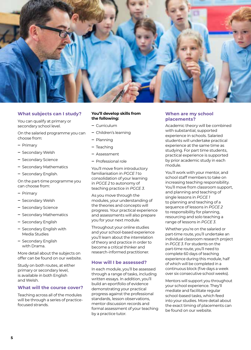

#### **What subjects can I study?**

You can qualify at primary or secondary school level.

On the salaried programme you can choose from:

- **‒** Primary
- **‒** Secondary Welsh
- **‒** Secondary Science
- **‒** Secondary Mathematics
- **‒** Secondary English.

On the part-time programme you can choose from:

- **‒** Primary
- **‒** Secondary Welsh
- **‒** Secondary Science
- **‒** Secondary Mathematics
- **‒** Secondary English
- **‒** Secondary English with Media Studies
- **‒** Secondary English with Drama.

More detail about the subjects on offer can be found on our website.

Study on both routes, at either primary or secondary level, is available in both English and Welsh.

#### **What will the course cover?**

Teaching across all of the modules will be through a series of practicefocused strands.

#### **You'll develop skills from the following:**

- **‒** Curriculum
- **‒** Children's learning
- **‒** Planning
- **‒** Teaching
- **‒** Assessment
- **‒** Professional role

You'll move from introductory familiarisation in *PGCE 1* to consolidation of your learning in *PGCE 2* to autonomy of teaching practice in *PGCE 3*.

As you move through the modules, your understanding of the theories and concepts will progress. Your practical experience and assessments will also prepare you for your next module.

Throughout your online studies and your school-based experience you'll learn about the interrelation of theory and practice in order to become a critical thinker and research-informed practitioner.

#### **How will I be assessed?**

In each module, you'll be assessed through a range of tasks, including written essays. In addition, you'll build an eportfolio of evidence demonstrating your practical progress against the professional standards, lesson observations, mentor discussion records and formal assessment of your teaching by a practice tutor.

#### **When are my school placements?**

Academic theory will be combined with substantial, supported experience in schools. Salaried students will undertake practical experience at the same time as studying. For part time students, practical experience is supported by prior academic study in each module.

You'll work with your mentor, and school staff members to take on increasing teaching responsibility. You'll move from classroom support, and planning and teaching of single lessons in *PGCE 1*  to planning and teaching of a sequence of lessons in *PGCE 2* to responsibility for planning, resourcing and solo teaching a range of lessons in *PGCE 3*.

Whether you're on the salaried or part-time route, you'll undertake an individual classroom research project in *PGCE 3*. For students on the part-time route, you'll need to complete 60 days of teaching experience during this module, half of which will be completed in a continuous block (five days a week over six consecutive school weeks).

Mentors will support you throughout your school experience. They'll mediate and facilitate regular school-based tasks, which feed into your studies. More detail about the exact timing of placements can be found on our website.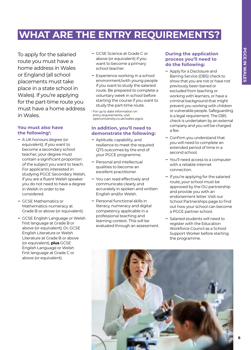### **WHAT ARE THE ENTRY REQUIREMENTS?**

To apply for the salaried route you must have a home address in Wales or England (all school placements must take place in a state school in Wales). If you're applying for the part-time route you must have a home address in Wales.

#### **You must also have the following1 :**

- **‒** A UK honours degree (or equivalent). If you want to become a secondary school teacher, your degree must contain a significant proportion of the subject you want to teach. For applicants interested in studying PGCE Secondary Welsh, if you are a fluent Welsh speaker you do not need to have a degree in Welsh in order to be considered.
- **‒** GCSE Mathematics or Mathematics-numeracy at Grade B or above (or equivalent).
- **‒** GCSE English Language or Welsh first language at Grade B or above (or equivalent). Or, GCSE English Literature or Welsh Literature at Grade B or above (or equivalent), **plus** GCSE English Language or Welsh first language at Grade C or above (or equivalent).
- **‒** GCSE Science at Grade C or above (or equivalent) if you want to become a primary school teacher.
- **‒** Experience working in a school environment/with young people if you want to study the salaried route. Be prepared to complete a voluntary week in school before starting the course if you want to study the part-time route.

<sup>1</sup> For up to date information on entry requirements, visit openuniversity.co.uk/wales-pgce.

#### **In addition, you'll need to demonstrate the following:**

- **‒** Aptitude, capability, and resilience to meet the required QTS outcomes by the end of your PGCE programme.
- **‒** Personal and intellectual qualities to become an excellent practitioner.
- **‒** You can read effectively and communicate clearly and accurately in spoken and written English and/or Welsh.
- **‒** Personal functional skills in literacy, numeracy and digital competency applicable in a professional teaching and learning context. This will be evaluated through an assessment.

#### **During the application process you'll need to do the following:**

- **‒** Apply for a Disclosure and Barring Service (DBS) check to show that you are not or have not previously been barred or excluded from teaching or working with learners, or have a criminal background that might prevent you working with children or vulnerable people. Safeguarding is a legal requirement. The DBS check is undertaken by an external company and you will be charged a fee.
- **‒** Confirm you understand that you will need to complete an extended period of time in a second school.
- **‒** You'll need access to a computer with a reliable internet connection.
- **‒** If you're applying for the salaried route, your school must be approved by the OU partnership and provide you with an endorsement letter. Visit our School Partnerships page to find out how your school can become a PGCE partner school.
- **‒** Salaried students will need to register with the Education Workforce Council as a School Support Worker before starting the programme.

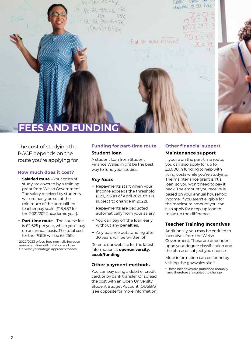LIONG PHOTO decimal 0 43 has Find the value Freezed **FEES AND FUNDING**

The cost of studying the PGCE depends on the route you're applying for.

#### **How much does it cost?**

- **‒ Salaried route –** Your costs of study are covered by a training grant from Welsh Government. The salary received by students will ordinarily be set at the minimum of the unqualified teacher pay scale (£18,487 for the 2021/2022 academic year).
- **‒ Part-time route –** The course fee is £2,625 per year, which you'll pay on an annual basis. The total cost for the PGCE will be £5,250<sup>1</sup>.
- <sup>1</sup> 2022/2023 prices; fees normally increase annually in line with inflation and the University's strategic approach to fees.

#### **Funding for part-time route Student loan**

A student loan from Student Finance Wales might be the best way to fund your studies.

#### *Key facts*

- **‒** Repayments start when your income exceeds the threshold (£27,295 as of April 2021, this is subject to change in 2022).
- **‒** Repayments are deducted automatically from your salary.
- **‒** You can pay off the loan early without any penalties.
- **‒** Any balance outstanding after 30 years will be written off.

Refer to our website for the latest information at **[openuniversity.](http://openuniversity.co.uk/funding) [co.uk/funding](http://openuniversity.co.uk/funding)**.

#### **Other payment methods**

You can pay using a debit or credit card, or by bank transfer. Or spread the cost with an Open University Student Budget Account (OUSBA) (see opposite for more information).

#### **Other financial support Maintenance support**

If you're on the part-time route, you can also apply for up to £3,000 in funding to help with living costs while you're studying. The maintenance grant isn't a loan, so you won't need to pay it back. The amount you receive is based on your annual household income. If you aren't eligible for the maximum amount you can also apply for a top-up loan to make up the difference.

#### **Teacher Training Incentives**

Additionally, you may be entitled to incentives from the Welsh Government. These are dependent upon your degree classification and the phase or subject you choose.

More information can be found by visiting the gov.wales site.\*

<sup>\*</sup> These incentives are published annually and therefore are subject to change.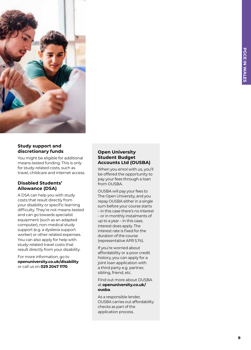

#### **Study support and discretionary funds**

You might be eligible for additional means-tested funding. This is only for study-related costs, such as travel, childcare and internet access.

#### **Disabled Students' Allowance (DSA)**

A DSA can help you with study costs that result directly from your disability or specific learning difficulty. They're not means-tested and can go towards specialist equipment (such as an adapted computer), non-medical study support (e.g. a dyslexia support worker) or other related expenses. You can also apply for help with study-related travel costs that result directly from your disability.

For more information, go to **[openuniversity.co.uk/disability](http://openuniversity.co.uk/disability)**  or call us on **029 2047 1170** .

#### **Open University Student Budget Accounts Ltd (OUSBA)**

When you enrol with us, you'll be offered the opportunity to pay your fees through a loan from OUSBA.

OUSBA will pay your fees to The Open University, and you repay OUSBA either in a single sum before your course starts – in this case there's no interest – or in monthly instalments of up to a year – in this case, interest does apply. The interest rate is fixed for the duration of the course (representative APR 5.1%).

If you're worried about affordability or a poor credit history, you can apply for a joint loan application with a third party e.g. partner, sibling, friend, etc.

Find out more about OUSBA at **[openuniversity.co.uk/](http://openuniversity.co.uk/ousba) [ousba](http://openuniversity.co.uk/ousba)** .

As a responsible lender, OUSBA carries out affordability checks as part of the application process.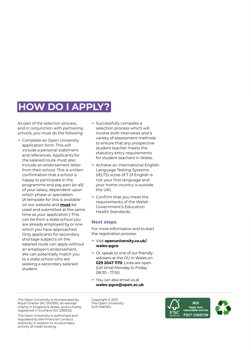### **HOW DO I APPLY?**

As part of the selection process, and in conjunction with partnering schools, you must do the following:

- **‒** Complete an Open University application form. This will include a personal statement and references. Applicants for the salaried route must also include an endorsement letter from their school. This is written confirmation that a school is happy to participate in the programme and pay part (or all) of your salary, dependent upon which phase or specialism. (A template for this is available on our website and **must** be used and submitted at the same time as your application.) This can be from a state school you are already employed by or one which you have approached. Only applicants for secondary shortage subjects on the salaried route can apply without an employer's endorsement. We can potentially match you to a state school who are seeking a secondary salaried student.
- **‒** Successfully complete a selection process which will involve both interviews and a variety of assessment methods to ensure that any prospective student teacher meets the statutory entry requirements for student teachers in Wales.
- **‒** Achieve an International English Language Testing Systems (IELTS) score of 7 (if English is not your first language and your home country is outside the UK).
- **‒** Confirm that you meet the requirements of the Welsh Government's Education Health Standards.

#### **Next steps**

For more information and to start the registration process:

- **‒** Visit **[openuniversity.co.uk/](http://openuniversity.co.uk/wales-pgce) [wales-pgce](http://openuniversity.co.uk/wales-pgce)**.
- **‒** Or, speak to one of our friendly advisers at the OU in Wales on **029 2047 1170**. Lines are open (UK time) Monday to Friday: 08:30 – 17:00.
- **‒** You can also email us at **[wales-pgce@open.ac.uk](mailto:wales-pgce%40open.ac.uk?subject=)**

The Open University is incorporated by Royal Charter (RC 000391), an exempt charity in England & Wales, and a charity registered in Scotland (SC 038302).

The Open University is authorised and regulated by the Financial Conduct Authority in relation to its secondary activity of credit broking.

Copyright © 2021 The Open University. SUP 096764

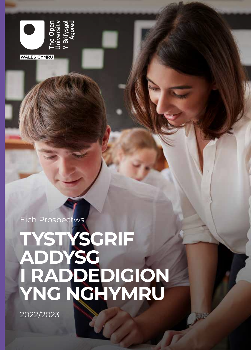

Eich Prosbectws

# **TYSTYSGRIF ADDYSG I RADDEDIGION YNG NGHYMRU**

2022/2023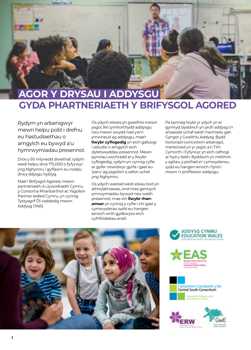

### **GYDA PHARTNERIAETH Y BRIFYSGOL AGORED AGOR Y DRYSAU I ADDYSGU**

Rydym yn arbenigwyr mewn helpu pobl i drefnu eu hastudiaethau o amgylch eu bywyd a'u hymrwymiadau presennol.

Dros y 50 mlynedd diwethaf, rydym wedi helpu dros 175,000 o fyfyrwyr yng Nghymru i gyflawni eu nodau drwy ddysgu hyblyg.

Mae'r Brifysgol Agored, mewn partneriaeth â Llywodraeth Cymru, y Consortia Rhanbarthol ac Ysgolion Partner ledled Cymru, yn cynnig Tystysgrif Ôl-raddedig mewn Addysg (TAR).

Os ydych eisoes yn gweithio mewn ysgol, fel cymhorthydd addysgu neu mewn swydd nad yw'n ymwneud ag addysgu, mae'r **llwybr cyflogedig** yn eich galluogi i astudio o amgylch eich dyletswyddau presennol. Mewn pynciau uwchradd ar y llwybr cyflogedig, rydym yn cynnig cyfle ar gyfer newidwyr gyrfa i gael eu 'paru' ag ysgolion o safon uchel yng Nghymru.

Os ydych wastad wedi eisiau bod yn athro/athrawes, ond mae gennych ymrwymiadau bywyd neu waith presennol, mae ein **llwybr rhanamser** yn cynnig y cyfle i chi gael y cymwysterau sydd eu hangen arnoch wrth gydbwyso eich cyfrifoldebau eraill.

Pa bynnag lwybr yr ydych yn ei gymryd, byddwch yn profi addysg o'r ansawdd uchaf wedi'i hachredu gan Gyngor y Gweithlu Addysg. Bydd tiwtoriaid cwricwlwm arbenigol, mentoriaid yn yr ysgol, a'n Tîm Cymorth i Fyfyrwyr yn eich cefnogi ar hyd y daith. Byddwch yn meithrin y sgiliau, y profiad a'r cymwysterau, sydd eu hangen arnoch i fynd i mewn i'r proffesiwn addysgu.









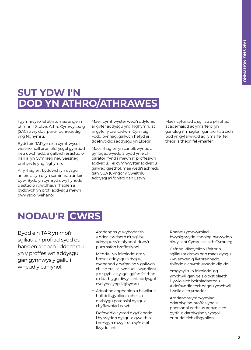### **SUT YDW I'N DOD YN ATHRO/ATHRAWES**

I gymhwyso fel athro, mae angen i chi ennill Statws Athro Cymwysedig (SAC) trwy ddarparwr achrededig yng Nghymru.

Bydd ein TAR yn eich cymhwyso i weithio naill ai ar lefel ysgol gynradd neu uwchradd, a gallwch ei astudio naill ai yn Gymraeg neu Saesneg, unrhyw le yng Nghymru.

Ar y rhaglen, byddwch yn dysgu ar-lein ac yn dilyn seminarau ar-lein byw. Bydd yn cymryd dwy flynedd o astudio i gwblhau'r rhaglen a byddwch yn profi addysgu mewn dwy ysgol wahanol.

Mae'r cymhwyster wedi'i ddylunio ar gyfer addysgu yng Nghymru ac ar gyfer y cwricwlwm Cymreig. Fodd bynnag, gallwch hefyd ei ddefnyddio i addysgu yn Lloegr.

Mae'r rhaglen yn canolbwyntio ar gyflogadwyedd a bydd yn eich paratoi i fynd i mewn i'r proffesiwn addysgu. Fel cymhwyster addysgu galwedigaethol, mae wedi'i achredu gan CGA (Cyngor y Gweithlu Addysg) a'i fonitro gan Estyn.

Mae'r cyfuniad o sgiliau a phrofiad academaidd ac ymarferol yn ganolog i'r rhaglen, gan sicrhau eich bod yn gyfarwydd ag 'ymarfer fel theori a theori fel ymarfer'.

### **NODAU'R CWRS**

Bydd ein TAR yn rhoi'r sgiliau a'r profiad sydd eu hangen arnoch i ddechrau yn y proffesiwn addysgu, gan gynnwys y gallu i wneud y canlynol:

- **‒** Arddangos yr wybodaeth, y ddealltwriaeth a'r sgiliau addysgu sy'n ofynnol, drwy'r pum safon broffesiynol.
- **‒** Meddwl yn feirniadol am y broses addysgu a dysgu, cydnabod y cyfraniad y gallwch chi ac eraill ei wneud i lwyddiant y disgybl a'r ysgol gyfan fel rhan o ddatblygu diwylliant addysgol cydlynol yng Nghymru.
- **‒** Adnabod anghenion a hawliau'r holl ddisgyblion a cheisio datblygu potensial dysgu a chyflawniad pawb.
- **‒** Defnyddio'r ystod o gyfleoedd i hyrwyddo dysgu, a gweithio i oresgyn rhwystrau sy'n atal llwyddiant.
- **‒** Rhannu ymrwymiad i bwysigrwydd canolog hyrwyddo diwylliant Cymru a'r iaith Gymraeg.
- **‒** Cefnogi disgyblion i feithrin sgiliau ar draws pob maes dysgu - yn enwedig llythrennedd, rhifedd a chymhwysedd digidol.
- **‒** Ymgysylltu'n feirniadol ag ymchwil, gan geisio tystiolaeth i lywio eich beirniadaethau. A defnyddio technegau ymchwil i wella eich ymarfer.
- **‒** Arddangos ymrwymiad i ddatblygiad proffesiynol a phersonol parhaus ar hyd eich gyrfa, a datblygiad yr ysgol, er budd eich disgyblion.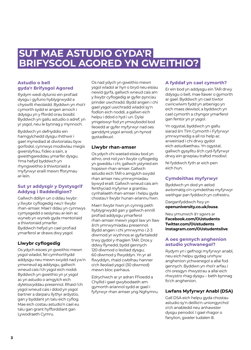### **SUT MAE ASTUDIO GYDA'R BRIFYSGOL AGORED YN GWEITHIO?**

#### **Astudio o bell gyda'r Brifysgol Agored**

Rydym wedi dylunio ein profiad dysgu i gyfuno hyblygrwydd a chyswllt rheolaidd. Byddwn yn rhoi'r cymorth sydd ei angen arnoch i ddysgu yn y ffordd orau bosibl. Byddwch yn gallu astudio o adref, yn yr ysgol, neu le bynnag y mynnoch.

Byddwch yn defnyddio ein hamgylchedd dysgu rhithwir i gael mynediad at diwtorialau byw gorfodol, cynnwys modiwlau megis gwerslyfrau, fideo a sain, a gweithgareddau ymarfer dysgu. Yma hefyd byddwch yn rhyngweithio â thiwtoriaid a myfyrwyr eraill mewn fforymau ar-lein.

#### **Sut yr addysgir y Dystysgrif Addysg i Raddedigion?**

Gallwch ddilyn un o ddau lwybr: y llwybr cyflogedig neu'r llwybr rhan-amser. Mae'r ddau yn cynnwys cymysgedd o sesiynau ar-lein ac wyneb yn wyneb gyda mentoriaid a thiwtoriaid ymarfer. Byddwch hefyd yn cael profiad ymarferol ar draws dwy ysgol.

#### **Llwybr cyflogedig**

Os ydych eisoes yn gweithio mewn ysgol wladol, fel cymhorthydd addysgu neu mewn swydd nad yw'n ymwneud ag addysgu, gallwch wneud cais i'ch ysgol eich noddi. Byddwch yn gweithio yn yr ysgol ac yn astudio o amgylch eich dyletswyddau presennol. Rhaid i'ch ysgol wneud cais i ddod yn ysgol bartner a darparu llythyr ardystio, gan y byddant yn talu eich cyflog. Mae eich costau astudio'n cael eu talu gan grant hyfforddiant gan Lywodraeth Cymru.

Os nad ydych yn gweithio mewn ysgol wladol ar hyn o bryd neu eisiau newid gyrfa, gallwch wneud cais am y llwybr cyflogedig ar gyfer pynciau prinder uwchradd. Bydd angen i chi gael ysgol uwchradd wladol sy'n fodlon eich noddi, a gallwn eich helpu i ddod o hyd i un. Dylai ymgeiswyr fod yn ymwybodol bod lleoedd ar gyfer myfyrwyr nad oes ganddynt ysgol arnodi, yn hynod gystadleuol.

#### **Llwybr rhan-amser**

Os ydych chi wastad eisiau bod yn athro, ond nid yw'r llwybr cyflogedig yn gweddu i chi, gallwch ystyried ein hopsiwn rhan-amser. Gallwch astudio eich TAR o amgylch swydd rhan amser neu ymrwymiadau bywyd eraill. Gallwch wneud cais am fenthyciad myfyriwr a grantiau cynhaliaeth rhan-amser i helpu gyda chostau'r llwybr hunan-ariannu hwn.

Mae'r llwybr hwn yn cynnig peth hyblygrwydd gan y gallwch ennill profiad addysgu ymarferol rhan-amser mewn ysgol law yn llaw â'ch ymrwymiadau presennol. Bydd angen i chi ymrwymo i 2-3 diwrnod yr wythnos ar gyfartaledd trwy gydol y rhaglen TAR. Dros y ddwy flynedd, bydd gennych 120 diwrnod o leoliad dysgu; 60 diwrnod y flwyddyn. Yn yr ail flwyddyn, rhaid cwblhau hanner o'ch lleoliad ysgol (30 diwrnod) mewn bloc parhaus.

Edrychwch ar yr adran Ffioedd a Chyllid i gael gwybodaeth am gymorth ariannol sydd ar gael i fyfyrwyr rhan amser yng Nghymru.

#### **A fyddaf yn cael cymorth?**

Er ein bod yn addysgu ein TAR drwy ddysgu o bell, mae llawer o gymorth ar gael. Byddwch yn cael tiwtor cwricwlwm fydd yn arbenigo yn eich maes dewisol, a byddwch yn cael cymorth a chyngor ymarferol gan fentor yn yr ysgol.

Yn ogystal, byddwch yn gallu siarad â'n Tîm Cymorth i Fyfyrwyr ymrwymedig a all roi help ac arweiniad i chi drwy gydol eich astudiaethau. Yn ogystal, gallwch gysylltu â'ch cyd-fyfyrwyr drwy ein grwpiau trafod modiwl.

Ni fyddwch fyth ar eich pen eich hun.

#### **Cymdeithas myfyrwyr**

Byddwch yn dod yn aelod awtomatig o'n cymdeithas myfyrwyr weithgar pan fyddwch yn cofrestru.

Darganfyddwch fwy yn **[openuniversity.co.uk/ousa](http://openuniversity.co.uk/ousa)**.

#### Neu ymunwch â'r sgwrs ar **[Facebook.com/OUstudents](http://Facebook.com/OUstudents) [Twitter.com/OUstudents](http://Twitter.com/OUstudents) [Instagram.com/OUstudentslive](http://Instagram.com/OUstudentslive)**.

#### **A oes gennych anghenion astudio ychwanegol?**

Rydym yn i gefnogi myfyrwyr anabl, neu eich helpu gydag unrhyw anghenion ychwanegol a allai fod gennych. Byddwn yn rhoi'r arfau i chi oresgyn rhwystrau a allai eich rhwystro rhag dysgu – beth bynnag fo'ch anghenion.

#### **Lwfans Myfyrwyr Anabl (DSA)**

Gall DSA eich helpu gyda chostau astudio sy'n deillio'n uniongyrchol o'ch anabledd neu anhawster dysgu penodol. I gael rhagor o fanylion, gweler tudalen 8.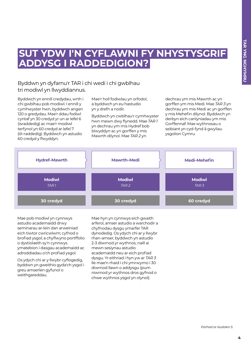### **SUT YDW I'N CYFLAWNI FY NHYSTYSGRIF ADDYSG I RADDEDIGION?**

#### Byddwn yn dyfarnu'r TAR i chi wedi i chi gwblhau tri modiwl yn llwyddiannus.

Byddwch yn ennill credydau, wrth i chi gwblhau pob modiwl. I ennill y cymhwyster hwn, byddwch angen 120 o gredydau. Mae'r ddau fodiwl cyntaf yn 30 credyd yr un ar lefel 6 (israddedig) ac mae'r modiwl terfynol yn 60 credyd ar lefel 7 (ôl-raddedig). Byddwch yn astudio 60 credyd y flwyddyn.

Mae'r holl fodiwlau yn orfodol, a byddwch yn eu hastudio yn y drefn a nodir.

Byddwch yn cwblhau'r cymhwyster hwn mewn dwy flynedd. Mae *TAR 1* yn dechrau ym mis Hydref bob blwyddyn ac yn gorffen y mis Mawrth dilynol. Mae *TAR 2* yn

dechrau ym mis Mawrth ac yn gorffen ym mis Medi. Mae *TAR 3* yn dechrau ym mis Medi ac yn gorffen y mis Mehefin dilynol. Byddwch yn derbyn eich canlyniadau ym mis Gorffennaf. Mae wythnosau o seibiant yn cyd-fynd â gwyliau ysgolion Cymru.



Mae pob modiwl yn cynnwys astudio academaidd drwy seminarau ar-lein dan arweiniad eich tiwtor cwricwlwm; cyfnod o brofiad ysgol; a chyflwyno portffolio o dystiolaeth sy'n cynnwys ymatebion i dasgau academaidd ac adroddiadau o'ch profiad ysgol.

Os ydych chi ar y llwybr cyflogedig, byddwn yn gweithio gyda'ch ysgol i greu amserlen gyfunol o weithgareddau.

Mae hyn yn cynnwys eich gwaith arferol, amser astudio a warchodir a chyfnodau dysgu ymarfer TAR dynodedig. Os ydych chi ar y llwybr rhan-amser, byddwch yn astudio 2-3 diwrnod yr wythnos, naill ai mewn sesiynau astudio academaidd neu ar eich profiad dysgu. Yr eithriad i hyn yw ar *TAR 3* lle mae'n rhaid i chi ymrwymo i 30 diwrnod llawn o addysgu (pum niwrnod yr wythnos dros gyfnod o chwe wythnos ysgol yn olynol).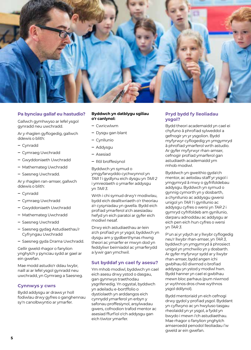

#### **Pa bynciau gallaf eu hastudio?**

Gallwch gymhwyso ar lefel ysgol gynradd neu uwchradd.

Ar y rhaglen gyflogedig, gallwch ddewis o blith:

- **‒** Cynradd
- **‒** Cymraeg Uwchradd
- **‒** Gwyddoniaeth Uwchradd
- **‒** Mathemateg Uwchradd
- **‒** Saesneg Uwchradd.

Ar y rhaglen ran-amser, gallwch ddewis o blith:

- **‒** Cynradd
- **‒** Cymraeg Uwchradd
- **‒** Gwyddoniaeth Uwchradd
- **‒** Mathemateg Uwchradd
- **‒** Saesneg Uwchradd
- **‒** Saesneg gydag Astudiaethau'r Cyfryngau Uwchradd
- **‒** Saesneg gyda Drama Uwchradd.

Gellir gweld rhagor o fanylion ynghylch y pynciau sydd ar gael ar ein gwefan.

Mae modd astudio'r ddau lwybr, naill ai ar lefel ysgol gynradd neu uwchradd, yn Gymraeg a Saesneg.

#### **Cynnwys y cwrs**

Bydd addysgu ar draws yr holl fodiwlau drwy gyfres o ganghennau sy'n canolbwyntio ar ymarfer.

#### **Byddwch yn datblygu sgiliau o'r canlynol:**

- **‒** Cwricwlwm
- **‒** Dysgu gan blant
- **‒** Cynllunio
- **‒** Addysgu
- **‒** Asesiad
- **‒** Rôl broffesiynol

Byddwch yn symud o ymgyfarwyddo cychwynnol yn *TAR 1* i gydlynu eich dysgu yn *TAR 2* i ymreolaeth o ymarfer addysgu yn *TAR 3*.

Wrth i chi symud drwy'r modiwlau, bydd eich dealltwriaeth o'r theorïau a'r cysyniadau yn gwella. Bydd eich profiad ymarferol a'ch asesiadau hefyd yn eich paratoi ar gyfer eich modiwl nesaf.

Drwy eich astudiaethau ar-lein a'ch profiad yn yr ysgol, byddwch yn dysgu am y gydberthynas rhwng theori ac ymarfer er mwyn dod yn feddyliwr beirniadol ac ymarferydd a lywir gan ymchwil.

#### **Sut byddaf yn cael fy asesu?**

Ym mhob modiwl, byddwch yn cael eich asesu drwy ystod o dasgau, gan gynnwys traethodau ysgrifenedig. Yn ogystal, byddwch yn adeiladu e-bortffolio o dystiolaeth yn arddangos eich cynnydd ymarferol yn erbyn y safonau proffesiynol, arsylwadau gwers, cofnodion trafod mentor ac asesiad ffurfiol o'ch addysgu gan eich tiwtor ymarfer.

#### **Pryd bydd fy lleoliadau ysgol?**

Bydd theori academaidd yn cael ei chyfuno â phrofiad sylweddol a gefnogir yn yr ysgolion. Bydd myfyrwyr cyflogedig yn ymgymryd â phrofiad ymarferol wrth astudio. Ar gyfer myfyrwyr rhan-amser, cefnogir profiad ymarferol gan astudiaeth academaidd ym mhob modiwl.

Byddwch yn gweithio gyda'ch mentor, ac aelodau staff yr ysgol i ymgymryd â mwy o gyfrifoldebau addysgu. Byddwch yn symud o gynnig cymorth yn y dosbarth, a chynllunio ac addysgu gwersi unigol yn *TAR 1* i gynllunio ac addysgu cyfres o wersi yn *TAR 2* i gymryd cyfrifoldeb am gynllunio, darparu adnoddau ac addysgu ar eich pen eich hun cyfres o wersi yn *TAR 3*.

P'un ai yr ydych ar y llwybr cyflogedig neu'r llwybr rhan-amser, yn *TAR 3*, byddwch yn ymgymryd â phrosiect unigol yn ymchwilio yn y dosbarth. Ar gyfer myfyrwyr sydd ar y llwybr rhan-amser, bydd angen ichi gwblhau 60 diwrnod o brofiad addysgu yn ystod y modiwl hwn. Bydd hanner yn cael ei gwblhau mewn bloc parhaus (pum niwrnod yr wythnos dros chwe wythnos ysgol ddilynol).

Bydd mentoriaid yn eich cefnogi drwy gydol y profiad ysgol. Byddant yn cyflwyno ac yn hwyluso tasgau rheolaidd yn yr ysgol, a fydd yn bwydo i mewn i'ch astudiaethau. Mae rhagor o fanylion ynghylch amseroedd penodol lleoliadau i'w gweld ar ein gwefan.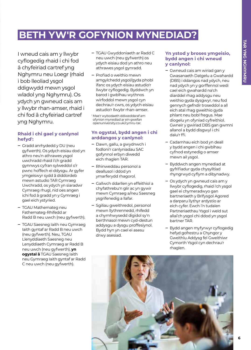### **BETH YW'R GOFYNION MYNEDIAD?**

I wneud cais am y llwybr cyflogedig rhaid i chi fod â chyfeiriad cartref yng Nghymru neu Loegr (rhaid i bob lleoliad ysgol ddigwydd mewn ysgol wladol yng Nghymru). Os ydych yn gwneud cais am y llwybr rhan-amser, rhaid i chi fod â chyfeiriad cartref yng Nghymru.

#### **Rhaid i chi gael y canlynol hefyd1 :**

- **‒** Gradd anrhydedd y DU (neu gyfwerth). Os ydych eisiau dod yn athro neu'n athrawes ysgol uwchradd rhaid i'ch gradd gynnwys cyfran sylweddol o'r pwnc hoffech ei ddysgu. Ar gyfer ymgeiswyr sydd â diddordeb mewn astudio TAR Cymraeg Uwchradd, os ydych yn siaradwr Cymraeg rhugl, nid oes angen ichi fod â gradd yn y Gymraeg i gael eich ystyried.
- **‒** TGAU Mathemateg neu Fathemateg-Rhifedd ar Radd B neu uwch (neu gyfwerth).
- **‒** TGAU Saesneg Iaith neu Gymraeg Iaith gyntaf ar Radd B neu uwch (neu gyfwerth). Neu, TGAU Llenyddiaeth Saesneg neu Lenyddiaeth Cymraeg ar Radd B neu uwch (neu gyfwerth), **yn ogystal â** TGAU Saesneg Iaith neu Gymraeg Iaith gyntaf ar Radd C neu uwch (neu gyfwerth).
- **‒** TGAU Gwyddoniaeth ar Radd C neu uwch (neu gyfwerth) os ydych eisiau dod yn athro neu athrawes ysgol gynradd.
- **‒** Profiad o weithio mewn amgylchedd ysgol/gyda phobl ifanc os ydych eisiau astudio'r llwybr cyflogedig. Byddwch yn barod i gwblhau wythnos wirfoddol mewn ysgol cyn dechrau'r cwrs, os ydych eisiau astudio'r llwybr rhan-amser.

<sup>1</sup> Mae'r wybodaeth ddiweddaraf am ofynion mynediad ar ein gwefan openuniversity.co.uk/cymru-tar.

#### **Yn ogystal, bydd angen i chi arddangos y canlynol:**

- **‒** Dawn, gallu, a gwydnwch i fodloni'r canlyniadau SAC gofynnol erbyn diwedd eich rhaglen TAR.
- **‒** Rhinweddau personol a deallusol i ddod yn ymarferydd rhagorol.
- **‒** Gallwch ddarllen yn effeithiol a chyfathrebu'n glir ac yn gywir mewn Cymraeg a/neu Saesneg ysgrifenedig a llafar.
- **‒** Sgiliau gweithredol, personol mewn llythrennedd, rhifedd a chymhwysedd digidol sy'n berthnasol mewn cyd-destun addysgu a dysgu proffesiynol. Bydd hyn yn cael ei asesu drwy asesiad.

#### **Yn ystod y broses ymgeisio, bydd angen i chi wneud y canlynol:**

- **‒** Gwneud cais am wiriad gan y Gwasanaeth Datgelu a Gwahardd (DBS) i ddangos nad ydych, neu nad ydych yn y gorffennol wedi cael eich gwahardd na'ch diarddel rhag addysgu neu weithio gyda dysgwyr, neu fod gennych gefndir troseddol a all eich atal rhag gweithio gyda phlant neu bobl fregus. Mae diogelu yn ofyniad cyfreithiol. Gwneir y gwiriad DBS gan gwmni allanol a bydd disgwyl i chi dalu'r ffi.
- **‒** Cadarnhau eich bod yn deall y bydd angen i chi gwblhau cyfnod estynedig o amser mewn ail ysgol.
- **‒** Byddwch angen mynediad at gyfrifiadur gyda chysylltiad rhyngrwyd cyflym a dibynadwy.
- **‒** Os ydych yn gwneud cais am y llwybr cyflogedig, rhaid i'ch ysgol gael ei chymeradwyo gan bartneriaeth y Brifysgol Agored a darparu llythyr ardystio ar eich cyfer. Ewch i'n tudalen Partneriaethau Ysgol i weld sut allai'ch ysgol chi ddod yn ysgol bartner TAR.
- **‒** Bydd angen myfyrwyr cyflogedig hefyd gofrestru a Chyngor y Gweithlu Addysg fel Gweithiwr Cymorth Ysgol cyn dechrau'r rhaglen.

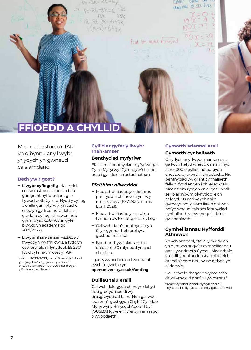**LIQUE PHILE** decimal 0 43 has Fied the value Freezed **FFIOEDD A CHYL** 

Mae cost astudio'r TAR yn dibynnu ar y llwybr yr ydych yn gwneud cais amdano.

#### **Beth yw'r gost?**

- **‒ Llwybr cyflogedig –** Mae eich costau astudio'n cael eu talu gan grant hyfforddiant gan Lywodraeth Cymru. Bydd y cyflog a enillir gan fyfyrwyr yn cael ei osod yn gyffredinol ar lefel isaf graddfa cyflog athrawon heb gymhwyso (£18,487 ar gyfer blwyddyn academaidd 2021/2022).
- **‒ Llwybr rhan-amser –** £2,625 y flwyddyn yw ffi'r cwrs, a fydd yn cael ei thalu'n flynyddol. £5,250<sup>1</sup> fydd cyfanswm cost y TAR.

1 prisiau 2022/2023; mae ffioedd fel rheol yn cynyddu'n flynyddol yn unol â chwyddiant ac ymagwedd strategol y Brifysgol at ffioedd.

#### **Cyllid ar gyfer y llwybr rhan-amser**

#### **Benthyciad myfyriwr**

Efallai mai benthyciad myfyriwr gan Gyllid Myfyrwyr Cymru yw'r ffordd orau i gyllido eich astudiaethau.

#### *Ffeithiau allweddol*

- **‒** Mae ad-daliadau yn dechrau pan fydd eich incwm yn fwy na'r trothwy (£27,295 ym mis Ebrill 2021).
- **‒** Mae ad-daliadau yn cael eu tynnu'n awtomatig o'ch cyflog.
- **‒** Gallwch dalu'r benthyciad yn ôl yn gynnar heb unrhyw gosbau ariannol.
- **‒** Bydd unrhyw falans heb ei dalu ar ôl 30 mlynedd yn cael ei ddileu.

I gael y wybodaeth ddiweddaraf ewch i'n gwefan yn **[openuniversity.co.uk/funding](http://openuniversity.co.uk/funding)**.

#### **Dulliau talu eraill**

Gallwch dalu gyda cherdyn debyd neu gredyd, neu drwy drosglwyddiad banc. Neu gallwch ledaenu'r gost gyda Chyfrif Cyllideb Myfyrwyr y Brifysgol Agored Cyf (OUSBA) (gweler gyferbyn am ragor o wybodaeth).

#### **Cymorth ariannol arall Cymorth cynhaliaeth**

Os ydych ar y llwybr rhan-amser, gallwch hefyd wneud cais am hyd at £3,000 o gyllid i helpu gyda chostau byw wrth i chi astudio. Nid benthyciad yw grant cynhaliaeth, felly ni fydd angen i chi ei ad-dalu. Mae'r swm rydych yn ei gael wedi'i seilio ar incwm blynyddol eich aelwyd. Os nad ydych chi'n gymwys am y swm llawn gallwch hefyd wneud cais am fenthyciad cynhaliaeth ychwanegol i dalu'r gwahaniaeth.

#### **Cymhelliannau Hyfforddi Athrawon**

Yn ychwanegol, efallai y byddwch yn gymwys ar gyfer cymhelliannau gan Lywodraeth Cymru. Mae'r rhain yn ddibynnol ar ddosbarthiad eich gradd a'r cam neu bwnc rydych yn ei ddewis.

Gellir gweld rhagor o wybodaeth drwy ymweld a safle llyw.cymru.\*

\* Mae'r cymhelliannau hyn yn cael eu cyhoeddi'n flynyddol ac felly gallant newid.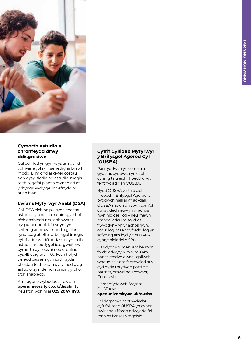

#### **Cymorth astudio a chronfeydd drwy ddisgresiwn**

Gallech fod yn gymwys am gyllid ychwanegol sy'n seiliedig ar brawf modd. Dim ond ar gyfer costau sy'n gysylltiedig ag astudio, megis teithio, gofal plant a mynediad at y rhyngrwyd y gellir defnyddio'r arian hwn.

#### **Lwfans Myfyrwyr Anabl (DSA)**

Gall DSA eich helpu gyda chostau astudio sy'n deillio'n uniongyrchol o'ch anabledd neu anhawster dysgu penodol. Nid ydynt yn seiliedig ar brawf modd a gallant fynd tuag at offer arbenigol (megis cyfrifiadur wedi'i addasu), cymorth astudio anfeddygol (e.e. gweithiwr cymorth dyslecsia) neu dreuliau cysylltiedig eraill. Gallwch hefyd wneud cais am gymorth gyda chostau teithio sy'n gysylltiedig ag astudio, sy'n deillio'n uniongyrchol o'ch anabledd.

Am ragor o wybodaeth, ewch i **[openuniversity.co.uk/disability](http://openuniversity.co.uk/disability)**  neu ffoniwch ni ar **029 2047 1170** .

#### **Cyfrif Cyllideb Myfyrwyr y Brifysgol Agored Cyf (OUSBA)**

Pan fyddwch yn cofrestru gyda ni, byddwch yn cael cynnig talu eich ffioedd drwy fenthyciad gan OUSBA.

Bydd OUSBA yn talu eich ffioedd i'r Brifysgol Agored, a byddwch naill ai yn ad-dalu OUSBA mewn un swm cyn i'ch cwrs ddechrau – yn yr achos hwn nid oes llog – neu mewn rhandaliadau misol dros flwyddyn – yn yr achos hwn, codir llog. Mae'r gyfradd llog yn sefydlog am hyd y cwrs (APR cynrychioladol o 5.1%).

Os ydych yn poeni am ba mor forddiadwy yw hyn neu am hanes credyd gwael, gallwch wneud cais am fenthyciad ar y cyd gyda thrydydd parti e.e. partner, brawd neu chwaer, ffrind, ayb.

Darganfyddwch fwy am OUSBA yn

#### **[openuniversity.co.uk/ousba](http://openuniversity.co.uk/ousba)** .

Fel darparwr benthyciadau cyfrifol, mae OUSBA yn cynnal gwiriadau fforddiadwyedd fel rhan o'r broses ymgeisio.